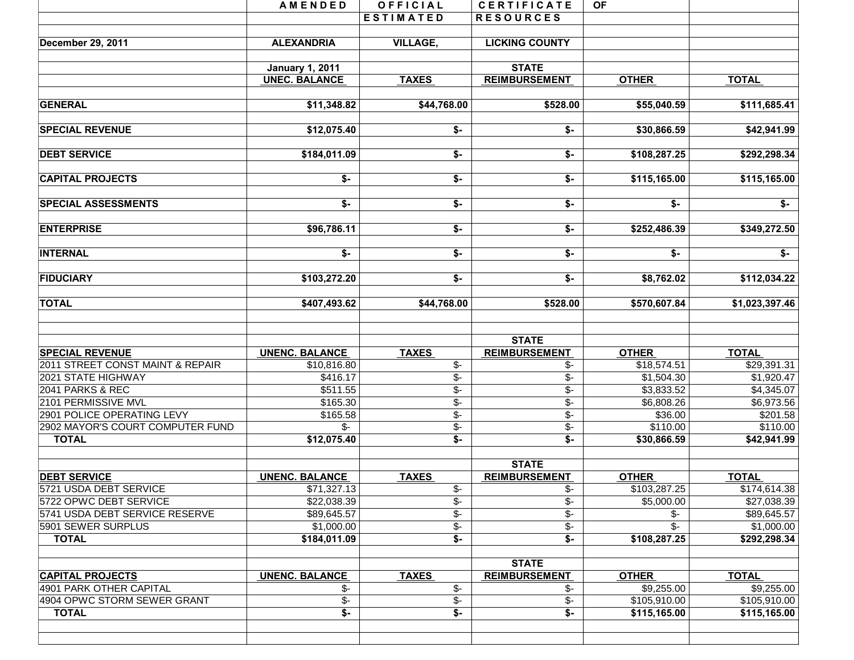|                                  | <b>AMENDED</b>           | OFFICIAL                  | <b>CERTIFICATE</b>          | <b>OF</b>       |                |
|----------------------------------|--------------------------|---------------------------|-----------------------------|-----------------|----------------|
|                                  |                          | <b>ESTIMATED</b>          | <b>RESOURCES</b>            |                 |                |
|                                  |                          |                           |                             |                 |                |
| December 29, 2011                | <b>ALEXANDRIA</b>        | <b>VILLAGE,</b>           | <b>LICKING COUNTY</b>       |                 |                |
|                                  | <b>January 1, 2011</b>   |                           | <b>STATE</b>                |                 |                |
|                                  | <b>UNEC. BALANCE</b>     | <b>TAXES</b>              | <b>REIMBURSEMENT</b>        | <b>OTHER</b>    | <b>TOTAL</b>   |
|                                  |                          |                           |                             |                 |                |
| <b>GENERAL</b>                   | \$11,348.82              | \$44,768.00               | \$528.00                    | \$55,040.59     | \$111,685.41   |
| <b>SPECIAL REVENUE</b>           | \$12,075.40              | \$-                       | \$-                         | \$30,866.59     | \$42,941.99    |
| <b>DEBT SERVICE</b>              | \$184,011.09             | $\overline{\ast}$         | $\overline{\ast}$           | \$108,287.25    | \$292,298.34   |
| <b>CAPITAL PROJECTS</b>          | \$-                      | \$-                       | \$-                         | \$115,165.00    | \$115,165.00   |
| <b>SPECIAL ASSESSMENTS</b>       | \$-                      | \$-                       | $\overline{\mathsf{S}}$     | \$-             | \$-            |
| <b>ENTERPRISE</b>                | \$96,786.11              | $$-$                      | $\overline{\mathbf{S}}$ -   | \$252,486.39    | \$349,272.50   |
|                                  |                          |                           |                             |                 |                |
| <b>INTERNAL</b>                  | \$-                      | $\overline{\mathsf{S}}$   | \$-                         | \$-             | \$-            |
| <b>FIDUCIARY</b>                 | \$103,272.20             | $$-$                      | \$-                         | \$8,762.02      | \$112,034.22   |
| <b>TOTAL</b>                     | \$407,493.62             | \$44,768.00               | \$528.00                    | \$570,607.84    | \$1,023,397.46 |
|                                  |                          |                           | <b>STATE</b>                |                 |                |
| <b>SPECIAL REVENUE</b>           | <b>UNENC. BALANCE</b>    | <b>TAXES</b>              | <b>REIMBURSEMENT</b>        | <b>OTHER</b>    | <b>TOTAL</b>   |
| 2011 STREET CONST MAINT & REPAIR | \$10,816.80              | $\overline{\$}$ -         | \$-                         | \$18,574.51     | \$29,391.31    |
| 2021 STATE HIGHWAY               | \$416.17                 | $\overline{\mathcal{F}}$  | \$-                         | \$1,504.30      | \$1,920.47     |
| 2041 PARKS & REC                 | \$511.55                 | $\overline{\$}$           | $\overline{\$}$ -           | \$3,833.52      | \$4,345.07     |
| 2101 PERMISSIVE MVL              | \$165.30                 | $\overline{\$}$ -         | $\overline{\$}$ -           | \$6,808.26      | \$6,973.56     |
| 2901 POLICE OPERATING LEVY       | \$165.58                 | $\overline{\$}$ -         | $\overline{\$}$ -           | \$36.00         | \$201.58       |
| 2902 MAYOR'S COURT COMPUTER FUND | $\mathcal{S}$ -          | $\frac{2}{3}$             | \$-                         | \$110.00        | \$110.00       |
| <b>TOTAL</b>                     | \$12,075.40              | $\overline{\mathsf{S}}$   | $\overline{\mathsf{S}}$     | \$30,866.59     | \$42,941.99    |
|                                  |                          |                           | <b>STATE</b>                |                 |                |
| <b>DEBT SERVICE</b>              | <b>UNENC. BALANCE</b>    | <b>TAXES</b>              | <b>REIMBURSEMENT</b>        | <b>OTHER</b>    | <b>TOTAL</b>   |
| 5721 USDA DEBT SERVICE           | \$71,327.13              | \$-                       | \$-                         | \$103,287.25    | \$174,614.38   |
| 5722 OPWC DEBT SERVICE           | \$22,038.39              | $\overline{\$}$ -         | $\overline{\$}$ -           | \$5,000.00      | \$27,038.39    |
| 5741 USDA DEBT SERVICE RESERVE   | \$89,645.57              | $\frac{2}{3}$             | $\overline{\mathcal{E}}$    | \$-             | \$89,645.57    |
| 5901 SEWER SURPLUS               | \$1,000.00               | $\overline{\$}$ -         | $\overline{\mathcal{F}}$    | $\overline{\$}$ | \$1,000.00     |
| <b>TOTAL</b>                     | \$184,011.09             | $\overline{\$}$ -         | $\overline{\$}$             | \$108,287.25    | \$292,298.34   |
|                                  |                          |                           | <b>STATE</b>                |                 |                |
| <b>CAPITAL PROJECTS</b>          | <b>UNENC. BALANCE</b>    | <b>TAXES</b>              | <b>REIMBURSEMENT</b>        | <b>OTHER</b>    | <b>TOTAL</b>   |
| 4901 PARK OTHER CAPITAL          | $\mathcal{S}$ -          | $\overline{\$}$ -         | $\frac{2}{3}$               | \$9,255.00      | \$9,255.00     |
| 4904 OPWC STORM SEWER GRANT      | $\overline{\mathcal{F}}$ | \$-                       | $\overline{\mathcal{F}}$    | \$105,910.00    | \$105,910.00   |
| <b>TOTAL</b>                     | $$-$                     | $\overline{\mathsf{S}}$ - | $\overline{\mathfrak{s}}$ - | \$115,165.00    | \$115,165.00   |
|                                  |                          |                           |                             |                 |                |